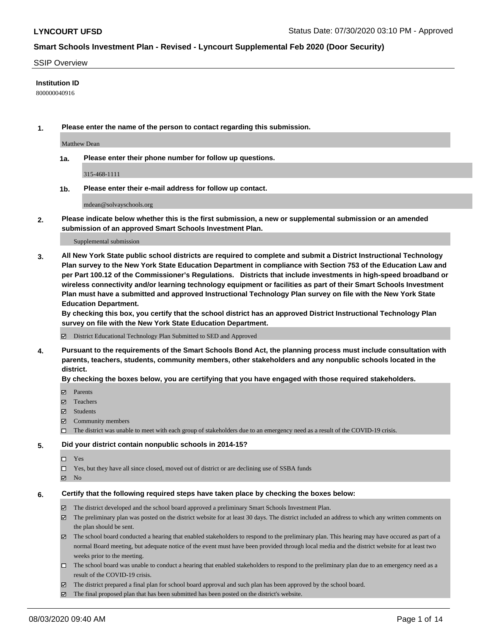#### SSIP Overview

### **Institution ID**

800000040916

**1. Please enter the name of the person to contact regarding this submission.**

Matthew Dean

**1a. Please enter their phone number for follow up questions.**

315-468-1111

**1b. Please enter their e-mail address for follow up contact.**

mdean@solvayschools.org

**2. Please indicate below whether this is the first submission, a new or supplemental submission or an amended submission of an approved Smart Schools Investment Plan.**

#### Supplemental submission

**3. All New York State public school districts are required to complete and submit a District Instructional Technology Plan survey to the New York State Education Department in compliance with Section 753 of the Education Law and per Part 100.12 of the Commissioner's Regulations. Districts that include investments in high-speed broadband or wireless connectivity and/or learning technology equipment or facilities as part of their Smart Schools Investment Plan must have a submitted and approved Instructional Technology Plan survey on file with the New York State Education Department.** 

**By checking this box, you certify that the school district has an approved District Instructional Technology Plan survey on file with the New York State Education Department.**

District Educational Technology Plan Submitted to SED and Approved

**4. Pursuant to the requirements of the Smart Schools Bond Act, the planning process must include consultation with parents, teachers, students, community members, other stakeholders and any nonpublic schools located in the district.** 

#### **By checking the boxes below, you are certifying that you have engaged with those required stakeholders.**

- **Parents**
- Teachers
- Students
- $\boxtimes$  Community members
- The district was unable to meet with each group of stakeholders due to an emergency need as a result of the COVID-19 crisis.

#### **5. Did your district contain nonpublic schools in 2014-15?**

- $\neg$  Yes
- Yes, but they have all since closed, moved out of district or are declining use of SSBA funds
- **Z** No

#### **6. Certify that the following required steps have taken place by checking the boxes below:**

- The district developed and the school board approved a preliminary Smart Schools Investment Plan.
- $\boxtimes$  The preliminary plan was posted on the district website for at least 30 days. The district included an address to which any written comments on the plan should be sent.
- $\boxtimes$  The school board conducted a hearing that enabled stakeholders to respond to the preliminary plan. This hearing may have occured as part of a normal Board meeting, but adequate notice of the event must have been provided through local media and the district website for at least two weeks prior to the meeting.
- The school board was unable to conduct a hearing that enabled stakeholders to respond to the preliminary plan due to an emergency need as a result of the COVID-19 crisis.
- The district prepared a final plan for school board approval and such plan has been approved by the school board.
- $\boxtimes$  The final proposed plan that has been submitted has been posted on the district's website.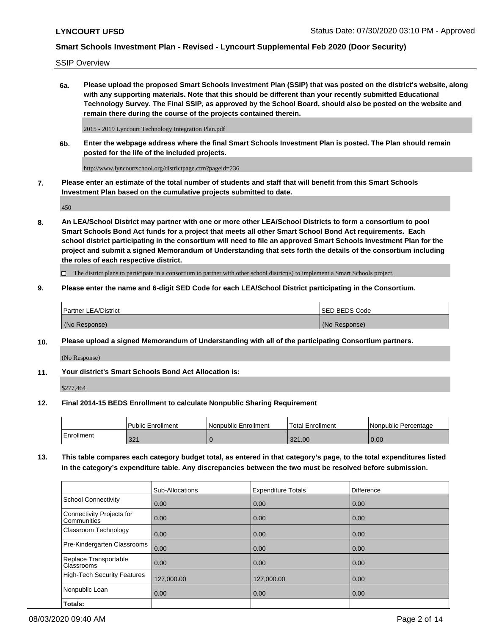SSIP Overview

**6a. Please upload the proposed Smart Schools Investment Plan (SSIP) that was posted on the district's website, along with any supporting materials. Note that this should be different than your recently submitted Educational Technology Survey. The Final SSIP, as approved by the School Board, should also be posted on the website and remain there during the course of the projects contained therein.**

2015 - 2019 Lyncourt Technology Integration Plan.pdf

**6b. Enter the webpage address where the final Smart Schools Investment Plan is posted. The Plan should remain posted for the life of the included projects.**

http://www.lyncourtschool.org/districtpage.cfm?pageid=236

**7. Please enter an estimate of the total number of students and staff that will benefit from this Smart Schools Investment Plan based on the cumulative projects submitted to date.**

450

**8. An LEA/School District may partner with one or more other LEA/School Districts to form a consortium to pool Smart Schools Bond Act funds for a project that meets all other Smart School Bond Act requirements. Each school district participating in the consortium will need to file an approved Smart Schools Investment Plan for the project and submit a signed Memorandum of Understanding that sets forth the details of the consortium including the roles of each respective district.**

 $\Box$  The district plans to participate in a consortium to partner with other school district(s) to implement a Smart Schools project.

### **9. Please enter the name and 6-digit SED Code for each LEA/School District participating in the Consortium.**

| Partner LEA/District | <b>ISED BEDS Code</b> |
|----------------------|-----------------------|
| (No Response)        | (No Response)         |

### **10. Please upload a signed Memorandum of Understanding with all of the participating Consortium partners.**

(No Response)

**11. Your district's Smart Schools Bond Act Allocation is:**

\$277,464

#### **12. Final 2014-15 BEDS Enrollment to calculate Nonpublic Sharing Requirement**

|            | Public Enrollment | Nonpublic Enrollment | Total Enrollment | INonpublic Percentage |
|------------|-------------------|----------------------|------------------|-----------------------|
| Enrollment | 321               |                      | 321.00           | 0.00                  |

**13. This table compares each category budget total, as entered in that category's page, to the total expenditures listed in the category's expenditure table. Any discrepancies between the two must be resolved before submission.**

|                                          | Sub-Allocations | <b>Expenditure Totals</b> | <b>Difference</b> |
|------------------------------------------|-----------------|---------------------------|-------------------|
| <b>School Connectivity</b>               | 0.00            | 0.00                      | 0.00              |
| Connectivity Projects for<br>Communities | 0.00            | 0.00                      | 0.00              |
| Classroom Technology                     | 0.00            | 0.00                      | 0.00              |
| Pre-Kindergarten Classrooms              | 0.00            | 0.00                      | 0.00              |
| Replace Transportable<br>Classrooms      | 0.00            | 0.00                      | 0.00              |
| High-Tech Security Features              | 127,000.00      | 127,000.00                | 0.00              |
| Nonpublic Loan                           | 0.00            | 0.00                      | 0.00              |
| Totals:                                  |                 |                           |                   |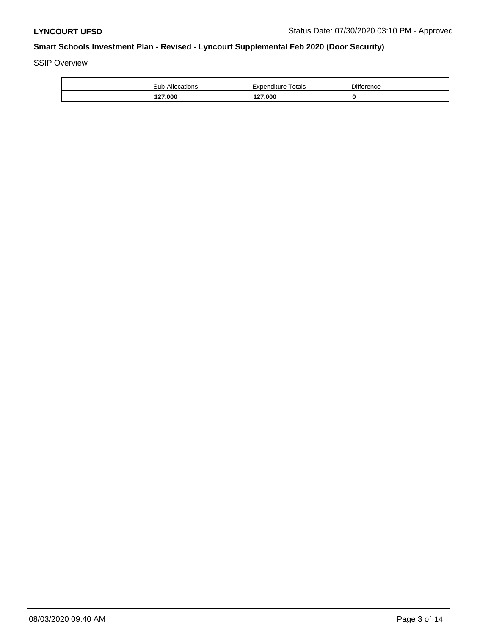SSIP Overview

| 127,000                | 127,000                 | 0                 |
|------------------------|-------------------------|-------------------|
| <b>Sub-Allocations</b> | Totals<br>l Expenditure | <b>Difference</b> |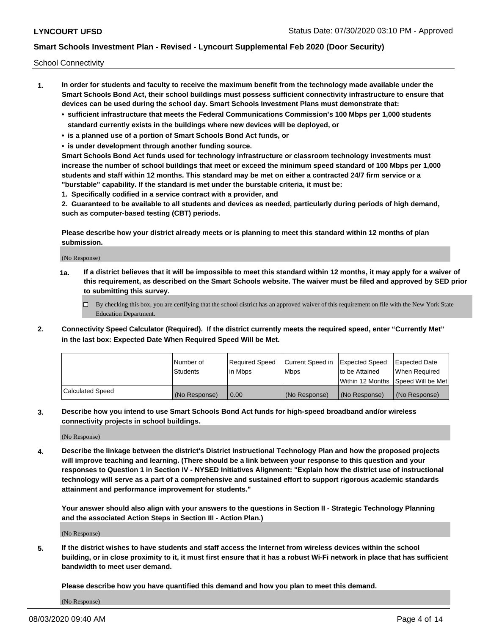School Connectivity

- **1. In order for students and faculty to receive the maximum benefit from the technology made available under the Smart Schools Bond Act, their school buildings must possess sufficient connectivity infrastructure to ensure that devices can be used during the school day. Smart Schools Investment Plans must demonstrate that:**
	- **• sufficient infrastructure that meets the Federal Communications Commission's 100 Mbps per 1,000 students standard currently exists in the buildings where new devices will be deployed, or**
	- **• is a planned use of a portion of Smart Schools Bond Act funds, or**
	- **• is under development through another funding source.**

**Smart Schools Bond Act funds used for technology infrastructure or classroom technology investments must increase the number of school buildings that meet or exceed the minimum speed standard of 100 Mbps per 1,000 students and staff within 12 months. This standard may be met on either a contracted 24/7 firm service or a "burstable" capability. If the standard is met under the burstable criteria, it must be:**

**1. Specifically codified in a service contract with a provider, and**

**2. Guaranteed to be available to all students and devices as needed, particularly during periods of high demand, such as computer-based testing (CBT) periods.**

**Please describe how your district already meets or is planning to meet this standard within 12 months of plan submission.**

(No Response)

**1a. If a district believes that it will be impossible to meet this standard within 12 months, it may apply for a waiver of this requirement, as described on the Smart Schools website. The waiver must be filed and approved by SED prior to submitting this survey.**

 $\Box$  By checking this box, you are certifying that the school district has an approved waiver of this requirement on file with the New York State Education Department.

**2. Connectivity Speed Calculator (Required). If the district currently meets the required speed, enter "Currently Met" in the last box: Expected Date When Required Speed Will be Met.**

|                  | l Number of     | Required Speed | Current Speed in | Expected Speed | Expected Date                        |
|------------------|-----------------|----------------|------------------|----------------|--------------------------------------|
|                  | <b>Students</b> | In Mbps        | <b>Mbps</b>      | to be Attained | When Required                        |
|                  |                 |                |                  |                | Within 12 Months 1Speed Will be Met1 |
| Calculated Speed | (No Response)   | 0.00           | (No Response)    | (No Response)  | l (No Response)                      |

**3. Describe how you intend to use Smart Schools Bond Act funds for high-speed broadband and/or wireless connectivity projects in school buildings.**

(No Response)

**4. Describe the linkage between the district's District Instructional Technology Plan and how the proposed projects will improve teaching and learning. (There should be a link between your response to this question and your responses to Question 1 in Section IV - NYSED Initiatives Alignment: "Explain how the district use of instructional technology will serve as a part of a comprehensive and sustained effort to support rigorous academic standards attainment and performance improvement for students."** 

**Your answer should also align with your answers to the questions in Section II - Strategic Technology Planning and the associated Action Steps in Section III - Action Plan.)**

(No Response)

**5. If the district wishes to have students and staff access the Internet from wireless devices within the school building, or in close proximity to it, it must first ensure that it has a robust Wi-Fi network in place that has sufficient bandwidth to meet user demand.**

**Please describe how you have quantified this demand and how you plan to meet this demand.**

(No Response)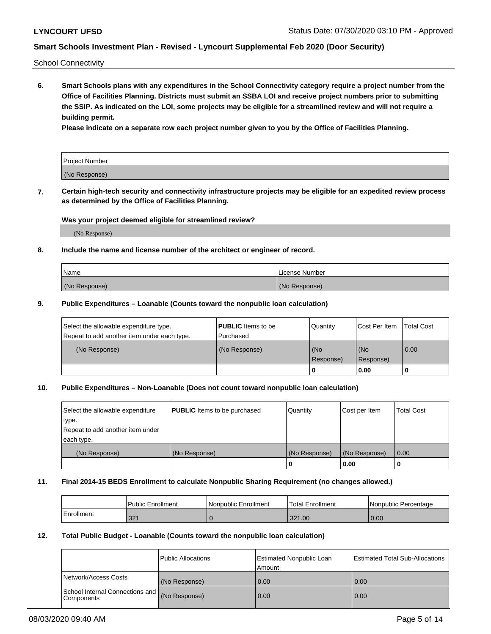School Connectivity

**6. Smart Schools plans with any expenditures in the School Connectivity category require a project number from the Office of Facilities Planning. Districts must submit an SSBA LOI and receive project numbers prior to submitting the SSIP. As indicated on the LOI, some projects may be eligible for a streamlined review and will not require a building permit.**

**Please indicate on a separate row each project number given to you by the Office of Facilities Planning.**

| Project Number |  |
|----------------|--|
| (No Response)  |  |

**7. Certain high-tech security and connectivity infrastructure projects may be eligible for an expedited review process as determined by the Office of Facilities Planning.**

### **Was your project deemed eligible for streamlined review?**

(No Response)

### **8. Include the name and license number of the architect or engineer of record.**

| Name          | License Number |
|---------------|----------------|
| (No Response) | (No Response)  |

### **9. Public Expenditures – Loanable (Counts toward the nonpublic loan calculation)**

| Select the allowable expenditure type.<br>Repeat to add another item under each type. | <b>PUBLIC</b> Items to be<br>l Purchased | Quantity         | l Cost Per Item  | <b>Total Cost</b> |
|---------------------------------------------------------------------------------------|------------------------------------------|------------------|------------------|-------------------|
| (No Response)                                                                         | (No Response)                            | (No<br>Response) | (No<br>Response) | 0.00              |
|                                                                                       |                                          | 0                | 0.00             |                   |

### **10. Public Expenditures – Non-Loanable (Does not count toward nonpublic loan calculation)**

| Select the allowable expenditure<br>type.      | <b>PUBLIC</b> Items to be purchased | Quantity      | Cost per Item | <b>Total Cost</b> |
|------------------------------------------------|-------------------------------------|---------------|---------------|-------------------|
| Repeat to add another item under<br>each type. |                                     |               |               |                   |
| (No Response)                                  | (No Response)                       | (No Response) | (No Response) | 0.00              |
|                                                |                                     |               | 0.00          |                   |

#### **11. Final 2014-15 BEDS Enrollment to calculate Nonpublic Sharing Requirement (no changes allowed.)**

|            | Public Enrollment | Nonpublic Enrollment | <b>Total Enrollment</b> | l Nonpublic Percentage |
|------------|-------------------|----------------------|-------------------------|------------------------|
| Enrollment | 224<br>32.        |                      | 321.00                  | 0.00                   |

### **12. Total Public Budget - Loanable (Counts toward the nonpublic loan calculation)**

|                                                      | Public Allocations | <b>Estimated Nonpublic Loan</b><br>Amount | Estimated Total Sub-Allocations |
|------------------------------------------------------|--------------------|-------------------------------------------|---------------------------------|
| Network/Access Costs                                 | (No Response)      | 0.00                                      | 0.00                            |
| School Internal Connections and<br><b>Components</b> | (No Response)      | 0.00                                      | 0.00                            |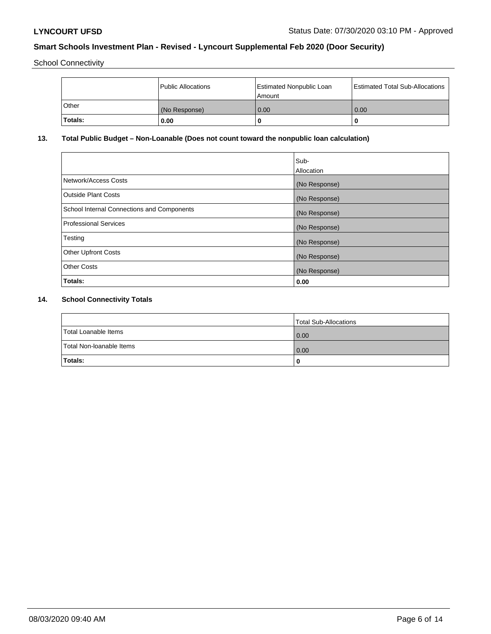School Connectivity

|         | <b>Public Allocations</b> | <b>Estimated Nonpublic Loan</b><br>l Amount i | <b>Estimated Total Sub-Allocations</b> |
|---------|---------------------------|-----------------------------------------------|----------------------------------------|
| Other   | (No Response)             | 0.00                                          | 0.00                                   |
| Totals: | 0.00                      | 0                                             | ш                                      |

# **13. Total Public Budget – Non-Loanable (Does not count toward the nonpublic loan calculation)**

|                                                   | Sub-<br>Allocation |
|---------------------------------------------------|--------------------|
|                                                   |                    |
| Network/Access Costs                              | (No Response)      |
| <b>Outside Plant Costs</b>                        | (No Response)      |
| <b>School Internal Connections and Components</b> | (No Response)      |
| Professional Services                             | (No Response)      |
| Testing                                           | (No Response)      |
| <b>Other Upfront Costs</b>                        | (No Response)      |
| <b>Other Costs</b>                                | (No Response)      |
| <b>Totals:</b>                                    | 0.00               |

# **14. School Connectivity Totals**

|                          | Total Sub-Allocations |
|--------------------------|-----------------------|
| Total Loanable Items     | 0.00                  |
| Total Non-Ioanable Items | 0.00                  |
| Totals:                  | 0                     |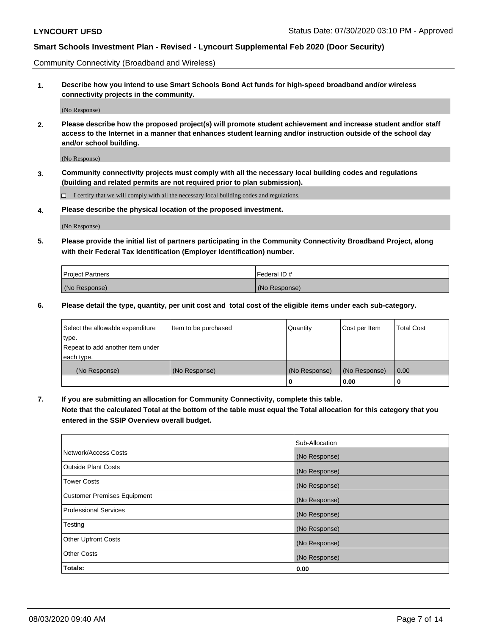Community Connectivity (Broadband and Wireless)

**1. Describe how you intend to use Smart Schools Bond Act funds for high-speed broadband and/or wireless connectivity projects in the community.**

(No Response)

**2. Please describe how the proposed project(s) will promote student achievement and increase student and/or staff access to the Internet in a manner that enhances student learning and/or instruction outside of the school day and/or school building.**

(No Response)

**3. Community connectivity projects must comply with all the necessary local building codes and regulations (building and related permits are not required prior to plan submission).**

 $\Box$  I certify that we will comply with all the necessary local building codes and regulations.

**4. Please describe the physical location of the proposed investment.**

(No Response)

**5. Please provide the initial list of partners participating in the Community Connectivity Broadband Project, along with their Federal Tax Identification (Employer Identification) number.**

| <b>Project Partners</b> | l Federal ID # |
|-------------------------|----------------|
| (No Response)           | (No Response)  |

**6. Please detail the type, quantity, per unit cost and total cost of the eligible items under each sub-category.**

| Select the allowable expenditure | Item to be purchased | Quantity      | Cost per Item | <b>Total Cost</b> |
|----------------------------------|----------------------|---------------|---------------|-------------------|
| type.                            |                      |               |               |                   |
| Repeat to add another item under |                      |               |               |                   |
| each type.                       |                      |               |               |                   |
| (No Response)                    | (No Response)        | (No Response) | (No Response) | 0.00              |
|                                  |                      | o             | 0.00          |                   |

**7. If you are submitting an allocation for Community Connectivity, complete this table.**

**Note that the calculated Total at the bottom of the table must equal the Total allocation for this category that you entered in the SSIP Overview overall budget.**

|                                    | Sub-Allocation |
|------------------------------------|----------------|
| Network/Access Costs               | (No Response)  |
| Outside Plant Costs                | (No Response)  |
| <b>Tower Costs</b>                 | (No Response)  |
| <b>Customer Premises Equipment</b> | (No Response)  |
| <b>Professional Services</b>       | (No Response)  |
| Testing                            | (No Response)  |
| <b>Other Upfront Costs</b>         | (No Response)  |
| <b>Other Costs</b>                 | (No Response)  |
| Totals:                            | 0.00           |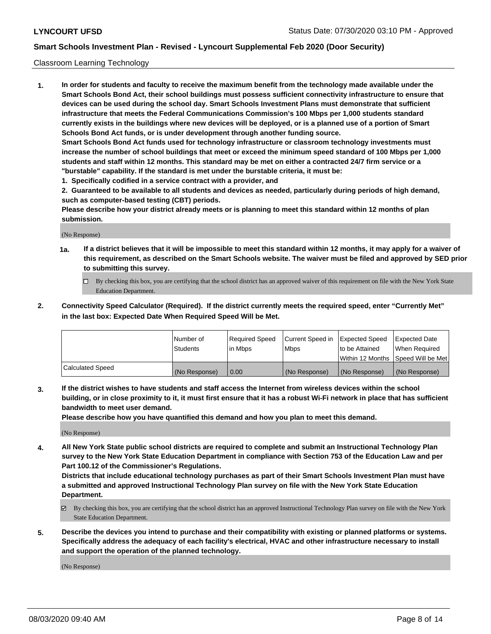### Classroom Learning Technology

**1. In order for students and faculty to receive the maximum benefit from the technology made available under the Smart Schools Bond Act, their school buildings must possess sufficient connectivity infrastructure to ensure that devices can be used during the school day. Smart Schools Investment Plans must demonstrate that sufficient infrastructure that meets the Federal Communications Commission's 100 Mbps per 1,000 students standard currently exists in the buildings where new devices will be deployed, or is a planned use of a portion of Smart Schools Bond Act funds, or is under development through another funding source. Smart Schools Bond Act funds used for technology infrastructure or classroom technology investments must increase the number of school buildings that meet or exceed the minimum speed standard of 100 Mbps per 1,000 students and staff within 12 months. This standard may be met on either a contracted 24/7 firm service or a "burstable" capability. If the standard is met under the burstable criteria, it must be:**

**1. Specifically codified in a service contract with a provider, and**

**2. Guaranteed to be available to all students and devices as needed, particularly during periods of high demand, such as computer-based testing (CBT) periods.**

**Please describe how your district already meets or is planning to meet this standard within 12 months of plan submission.**

(No Response)

- **1a. If a district believes that it will be impossible to meet this standard within 12 months, it may apply for a waiver of this requirement, as described on the Smart Schools website. The waiver must be filed and approved by SED prior to submitting this survey.**
	- By checking this box, you are certifying that the school district has an approved waiver of this requirement on file with the New York State Education Department.
- **2. Connectivity Speed Calculator (Required). If the district currently meets the required speed, enter "Currently Met" in the last box: Expected Date When Required Speed Will be Met.**

|                  | l Number of     | Required Speed | Current Speed in | <b>Expected Speed</b> | <b>Expected Date</b>                |
|------------------|-----------------|----------------|------------------|-----------------------|-------------------------------------|
|                  | <b>Students</b> | l in Mbps      | l Mbps           | to be Attained        | When Required                       |
|                  |                 |                |                  |                       | Within 12 Months  Speed Will be Met |
| Calculated Speed | (No Response)   | 0.00           | (No Response)    | l (No Response)       | (No Response)                       |

**3. If the district wishes to have students and staff access the Internet from wireless devices within the school building, or in close proximity to it, it must first ensure that it has a robust Wi-Fi network in place that has sufficient bandwidth to meet user demand.**

**Please describe how you have quantified this demand and how you plan to meet this demand.**

(No Response)

**4. All New York State public school districts are required to complete and submit an Instructional Technology Plan survey to the New York State Education Department in compliance with Section 753 of the Education Law and per Part 100.12 of the Commissioner's Regulations.**

**Districts that include educational technology purchases as part of their Smart Schools Investment Plan must have a submitted and approved Instructional Technology Plan survey on file with the New York State Education Department.**

- By checking this box, you are certifying that the school district has an approved Instructional Technology Plan survey on file with the New York State Education Department.
- **5. Describe the devices you intend to purchase and their compatibility with existing or planned platforms or systems. Specifically address the adequacy of each facility's electrical, HVAC and other infrastructure necessary to install and support the operation of the planned technology.**

(No Response)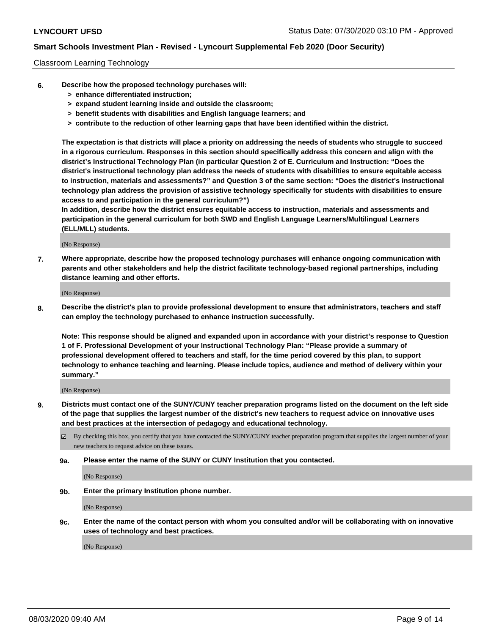### Classroom Learning Technology

- **6. Describe how the proposed technology purchases will:**
	- **> enhance differentiated instruction;**
	- **> expand student learning inside and outside the classroom;**
	- **> benefit students with disabilities and English language learners; and**
	- **> contribute to the reduction of other learning gaps that have been identified within the district.**

**The expectation is that districts will place a priority on addressing the needs of students who struggle to succeed in a rigorous curriculum. Responses in this section should specifically address this concern and align with the district's Instructional Technology Plan (in particular Question 2 of E. Curriculum and Instruction: "Does the district's instructional technology plan address the needs of students with disabilities to ensure equitable access to instruction, materials and assessments?" and Question 3 of the same section: "Does the district's instructional technology plan address the provision of assistive technology specifically for students with disabilities to ensure access to and participation in the general curriculum?")**

**In addition, describe how the district ensures equitable access to instruction, materials and assessments and participation in the general curriculum for both SWD and English Language Learners/Multilingual Learners (ELL/MLL) students.**

(No Response)

**7. Where appropriate, describe how the proposed technology purchases will enhance ongoing communication with parents and other stakeholders and help the district facilitate technology-based regional partnerships, including distance learning and other efforts.**

(No Response)

**8. Describe the district's plan to provide professional development to ensure that administrators, teachers and staff can employ the technology purchased to enhance instruction successfully.**

**Note: This response should be aligned and expanded upon in accordance with your district's response to Question 1 of F. Professional Development of your Instructional Technology Plan: "Please provide a summary of professional development offered to teachers and staff, for the time period covered by this plan, to support technology to enhance teaching and learning. Please include topics, audience and method of delivery within your summary."**

(No Response)

- **9. Districts must contact one of the SUNY/CUNY teacher preparation programs listed on the document on the left side of the page that supplies the largest number of the district's new teachers to request advice on innovative uses and best practices at the intersection of pedagogy and educational technology.**
	- By checking this box, you certify that you have contacted the SUNY/CUNY teacher preparation program that supplies the largest number of your new teachers to request advice on these issues.
	- **9a. Please enter the name of the SUNY or CUNY Institution that you contacted.**

(No Response)

**9b. Enter the primary Institution phone number.**

(No Response)

**9c. Enter the name of the contact person with whom you consulted and/or will be collaborating with on innovative uses of technology and best practices.**

(No Response)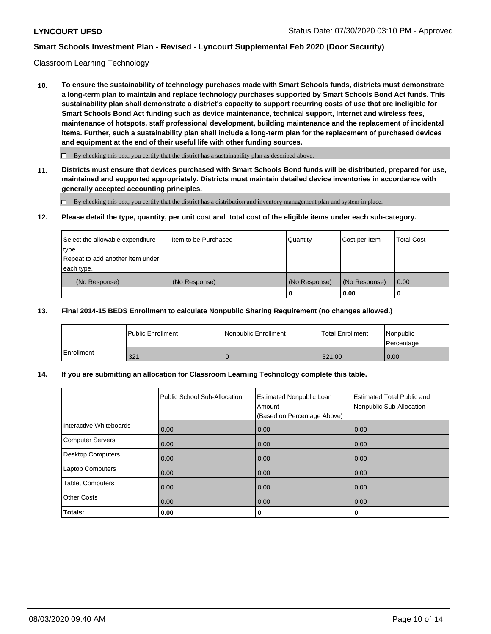### Classroom Learning Technology

**10. To ensure the sustainability of technology purchases made with Smart Schools funds, districts must demonstrate a long-term plan to maintain and replace technology purchases supported by Smart Schools Bond Act funds. This sustainability plan shall demonstrate a district's capacity to support recurring costs of use that are ineligible for Smart Schools Bond Act funding such as device maintenance, technical support, Internet and wireless fees, maintenance of hotspots, staff professional development, building maintenance and the replacement of incidental items. Further, such a sustainability plan shall include a long-term plan for the replacement of purchased devices and equipment at the end of their useful life with other funding sources.**

 $\Box$  By checking this box, you certify that the district has a sustainability plan as described above.

**11. Districts must ensure that devices purchased with Smart Schools Bond funds will be distributed, prepared for use, maintained and supported appropriately. Districts must maintain detailed device inventories in accordance with generally accepted accounting principles.**

By checking this box, you certify that the district has a distribution and inventory management plan and system in place.

#### **12. Please detail the type, quantity, per unit cost and total cost of the eligible items under each sub-category.**

| Select the allowable expenditure<br>type.<br>Repeat to add another item under | Item to be Purchased | Quantity      | Cost per Item | <b>Total Cost</b> |
|-------------------------------------------------------------------------------|----------------------|---------------|---------------|-------------------|
| each type.<br>(No Response)                                                   | (No Response)        | (No Response) | (No Response) | 0.00              |
|                                                                               |                      | 0             | 0.00          |                   |

### **13. Final 2014-15 BEDS Enrollment to calculate Nonpublic Sharing Requirement (no changes allowed.)**

|            | <b>Public Enrollment</b> | Nonpublic Enrollment | <b>Total Enrollment</b> | Nonpublic<br>l Percentage |
|------------|--------------------------|----------------------|-------------------------|---------------------------|
| Enrollment | 321                      |                      | 321.00                  | 0.00                      |

### **14. If you are submitting an allocation for Classroom Learning Technology complete this table.**

|                          | Public School Sub-Allocation | <b>Estimated Nonpublic Loan</b><br>Amount<br>(Based on Percentage Above) | <b>Estimated Total Public and</b><br>Nonpublic Sub-Allocation |
|--------------------------|------------------------------|--------------------------------------------------------------------------|---------------------------------------------------------------|
| Interactive Whiteboards  | 0.00                         | 0.00                                                                     | 0.00                                                          |
| Computer Servers         | 0.00                         | 0.00                                                                     | 0.00                                                          |
| <b>Desktop Computers</b> | 0.00                         | 0.00                                                                     | 0.00                                                          |
| <b>Laptop Computers</b>  | 0.00                         | 0.00                                                                     | 0.00                                                          |
| <b>Tablet Computers</b>  | 0.00                         | 0.00                                                                     | 0.00                                                          |
| <b>Other Costs</b>       | 0.00                         | 0.00                                                                     | 0.00                                                          |
| Totals:                  | 0.00                         | 0                                                                        | 0                                                             |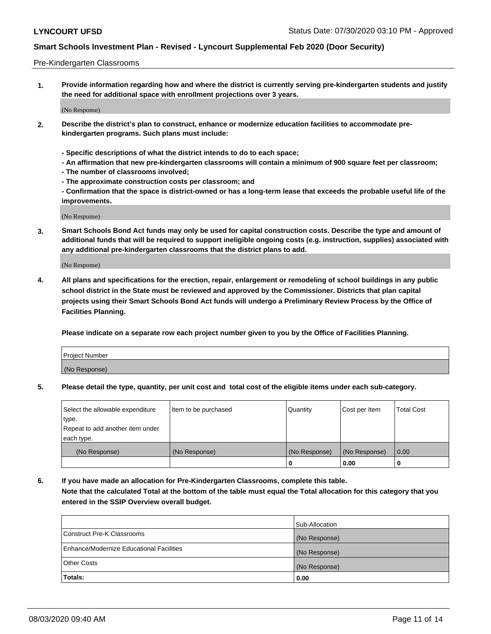#### Pre-Kindergarten Classrooms

**1. Provide information regarding how and where the district is currently serving pre-kindergarten students and justify the need for additional space with enrollment projections over 3 years.**

(No Response)

- **2. Describe the district's plan to construct, enhance or modernize education facilities to accommodate prekindergarten programs. Such plans must include:**
	- **Specific descriptions of what the district intends to do to each space;**
	- **An affirmation that new pre-kindergarten classrooms will contain a minimum of 900 square feet per classroom;**
	- **The number of classrooms involved;**
	- **The approximate construction costs per classroom; and**
	- **Confirmation that the space is district-owned or has a long-term lease that exceeds the probable useful life of the improvements.**

(No Response)

**3. Smart Schools Bond Act funds may only be used for capital construction costs. Describe the type and amount of additional funds that will be required to support ineligible ongoing costs (e.g. instruction, supplies) associated with any additional pre-kindergarten classrooms that the district plans to add.**

(No Response)

**4. All plans and specifications for the erection, repair, enlargement or remodeling of school buildings in any public school district in the State must be reviewed and approved by the Commissioner. Districts that plan capital projects using their Smart Schools Bond Act funds will undergo a Preliminary Review Process by the Office of Facilities Planning.**

**Please indicate on a separate row each project number given to you by the Office of Facilities Planning.**

| Project Number |  |
|----------------|--|
| (No Response)  |  |
|                |  |

**5. Please detail the type, quantity, per unit cost and total cost of the eligible items under each sub-category.**

| Select the allowable expenditure | Item to be purchased | Quantity      | Cost per Item | <b>Total Cost</b> |
|----------------------------------|----------------------|---------------|---------------|-------------------|
| type.                            |                      |               |               |                   |
| Repeat to add another item under |                      |               |               |                   |
| each type.                       |                      |               |               |                   |
| (No Response)                    | (No Response)        | (No Response) | (No Response) | 0.00              |
|                                  |                      | υ             | 0.00          |                   |

**6. If you have made an allocation for Pre-Kindergarten Classrooms, complete this table. Note that the calculated Total at the bottom of the table must equal the Total allocation for this category that you entered in the SSIP Overview overall budget.**

|                                          | Sub-Allocation |
|------------------------------------------|----------------|
| Construct Pre-K Classrooms               | (No Response)  |
| Enhance/Modernize Educational Facilities | (No Response)  |
| <b>Other Costs</b>                       | (No Response)  |
| Totals:                                  | 0.00           |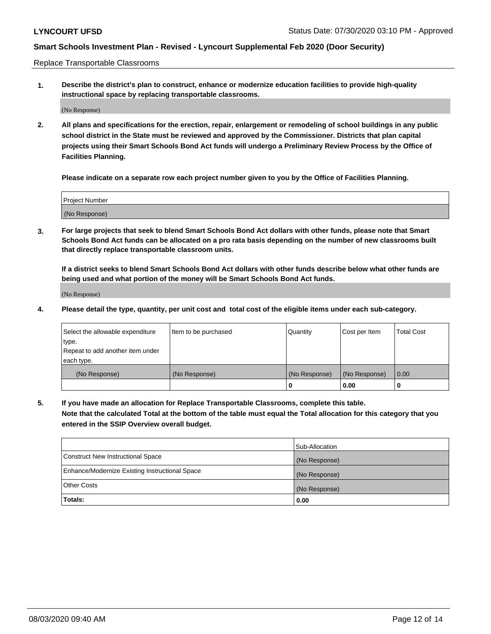Replace Transportable Classrooms

**1. Describe the district's plan to construct, enhance or modernize education facilities to provide high-quality instructional space by replacing transportable classrooms.**

(No Response)

**2. All plans and specifications for the erection, repair, enlargement or remodeling of school buildings in any public school district in the State must be reviewed and approved by the Commissioner. Districts that plan capital projects using their Smart Schools Bond Act funds will undergo a Preliminary Review Process by the Office of Facilities Planning.**

**Please indicate on a separate row each project number given to you by the Office of Facilities Planning.**

| Project Number |  |
|----------------|--|
|                |  |
| (No Response)  |  |

**3. For large projects that seek to blend Smart Schools Bond Act dollars with other funds, please note that Smart Schools Bond Act funds can be allocated on a pro rata basis depending on the number of new classrooms built that directly replace transportable classroom units.**

**If a district seeks to blend Smart Schools Bond Act dollars with other funds describe below what other funds are being used and what portion of the money will be Smart Schools Bond Act funds.**

(No Response)

**4. Please detail the type, quantity, per unit cost and total cost of the eligible items under each sub-category.**

| Select the allowable expenditure<br>∣type.     | Item to be purchased | Quantity      | Cost per Item | Total Cost |
|------------------------------------------------|----------------------|---------------|---------------|------------|
| Repeat to add another item under<br>each type. |                      |               |               |            |
| (No Response)                                  | (No Response)        | (No Response) | (No Response) | 0.00       |
|                                                |                      | u             | 0.00          |            |

**5. If you have made an allocation for Replace Transportable Classrooms, complete this table. Note that the calculated Total at the bottom of the table must equal the Total allocation for this category that you entered in the SSIP Overview overall budget.**

|                                                | Sub-Allocation |
|------------------------------------------------|----------------|
| Construct New Instructional Space              | (No Response)  |
| Enhance/Modernize Existing Instructional Space | (No Response)  |
| Other Costs                                    | (No Response)  |
| Totals:                                        | 0.00           |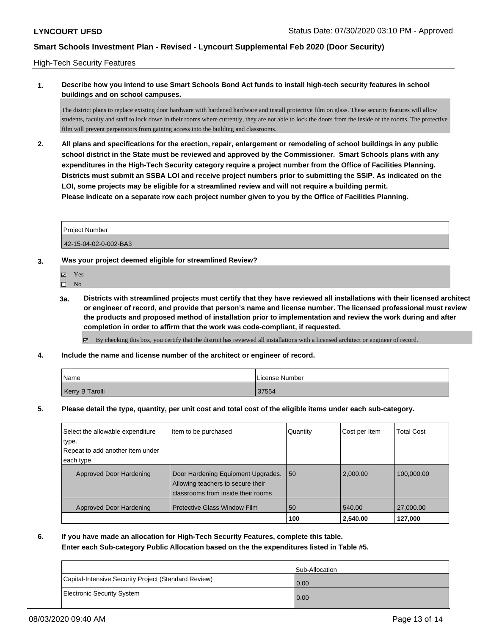### High-Tech Security Features

## **1. Describe how you intend to use Smart Schools Bond Act funds to install high-tech security features in school buildings and on school campuses.**

The district plans to replace existing door hardware with hardened hardware and install protective film on glass. These security features will allow students, faculty and staff to lock down in their rooms where currently, they are not able to lock the doors from the inside of the rooms. The protective film will prevent perpetrators from gaining access into the building and classrooms.

**2. All plans and specifications for the erection, repair, enlargement or remodeling of school buildings in any public school district in the State must be reviewed and approved by the Commissioner. Smart Schools plans with any expenditures in the High-Tech Security category require a project number from the Office of Facilities Planning. Districts must submit an SSBA LOI and receive project numbers prior to submitting the SSIP. As indicated on the LOI, some projects may be eligible for a streamlined review and will not require a building permit. Please indicate on a separate row each project number given to you by the Office of Facilities Planning.**

| <b>Project Number</b> |  |
|-----------------------|--|
| 42-15-04-02-0-002-BA3 |  |

### **3. Was your project deemed eligible for streamlined Review?**

- Yes
- $\square$  No
- **3a. Districts with streamlined projects must certify that they have reviewed all installations with their licensed architect or engineer of record, and provide that person's name and license number. The licensed professional must review the products and proposed method of installation prior to implementation and review the work during and after completion in order to affirm that the work was code-compliant, if requested.**
	- By checking this box, you certify that the district has reviewed all installations with a licensed architect or engineer of record.
- **4. Include the name and license number of the architect or engineer of record.**

| Name            | License Number |
|-----------------|----------------|
| Kerry B Tarolli | 37554          |

**5. Please detail the type, quantity, per unit cost and total cost of the eligible items under each sub-category.**

| Select the allowable expenditure | Item to be purchased                | Quantity | Cost per Item | <b>Total Cost</b> |
|----------------------------------|-------------------------------------|----------|---------------|-------------------|
| type.                            |                                     |          |               |                   |
| Repeat to add another item under |                                     |          |               |                   |
| each type.                       |                                     |          |               |                   |
| Approved Door Hardening          | Door Hardening Equipment Upgrades.  | 50       | 2.000.00      | 100,000.00        |
|                                  | Allowing teachers to secure their   |          |               |                   |
|                                  | classrooms from inside their rooms  |          |               |                   |
| Approved Door Hardening          | <b>Protective Glass Window Film</b> | 50       | 540.00        | 27,000.00         |
|                                  |                                     | 100      | 2,540.00      | 127.000           |

**6. If you have made an allocation for High-Tech Security Features, complete this table.**

**Enter each Sub-category Public Allocation based on the the expenditures listed in Table #5.**

|                                                      | Sub-Allocation |
|------------------------------------------------------|----------------|
| Capital-Intensive Security Project (Standard Review) | 0.00           |
| Electronic Security System                           | 0.00           |